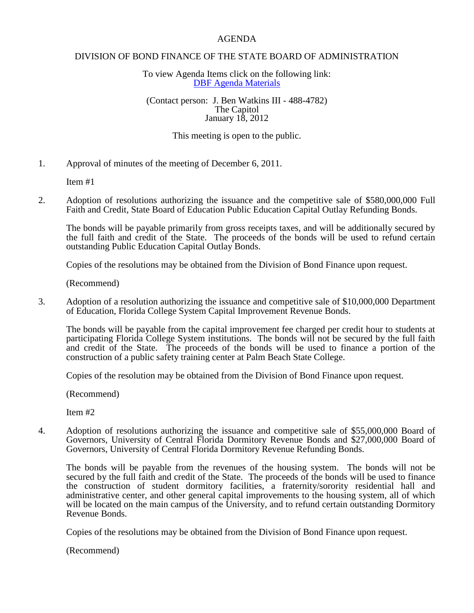## AGENDA

## DIVISION OF BOND FINANCE OF THE STATE BOARD OF ADMINISTRATION

To view Agenda Items click on the following link: [DBF Agenda Materials](http://www.sbafla.com/bond/boardmeetings.asp?FormMode=Call&LinkType=Section&Section=0)

(Contact person: J. Ben Watkins III - 488-4782) The Capitol January 18, 2012

This meeting is open to the public.

1. Approval of minutes of the meeting of December 6, 2011.

Item #1

2. Adoption of resolutions authorizing the issuance and the competitive sale of \$580,000,000 Full Faith and Credit, State Board of Education Public Education Capital Outlay Refunding Bonds.

The bonds will be payable primarily from gross receipts taxes, and will be additionally secured by the full faith and credit of the State. The proceeds of the bonds will be used to refund certain outstanding Public Education Capital Outlay Bonds.

Copies of the resolutions may be obtained from the Division of Bond Finance upon request.

(Recommend)

3. Adoption of a resolution authorizing the issuance and competitive sale of \$10,000,000 Department of Education, Florida College System Capital Improvement Revenue Bonds.

The bonds will be payable from the capital improvement fee charged per credit hour to students at participating Florida College System institutions. The bonds will not be secured by the full faith and credit of the State. The proceeds of the bonds will be used to finance a portion of the construction of a public safety training center at Palm Beach State College.

Copies of the resolution may be obtained from the Division of Bond Finance upon request.

(Recommend)

Item #2

4. Adoption of resolutions authorizing the issuance and competitive sale of \$55,000,000 Board of Governors, University of Central Florida Dormitory Revenue Bonds and \$27,000,000 Board of Governors, University of Central Florida Dormitory Revenue Refunding Bonds.

The bonds will be payable from the revenues of the housing system. The bonds will not be secured by the full faith and credit of the State. The proceeds of the bonds will be used to finance the construction of student dormitory facilities, a fraternity/sorority residential hall and administrative center, and other general capital improvements to the housing system, all of which will be located on the main campus of the University, and to refund certain outstanding Dormitory Revenue Bonds.

Copies of the resolutions may be obtained from the Division of Bond Finance upon request.

(Recommend)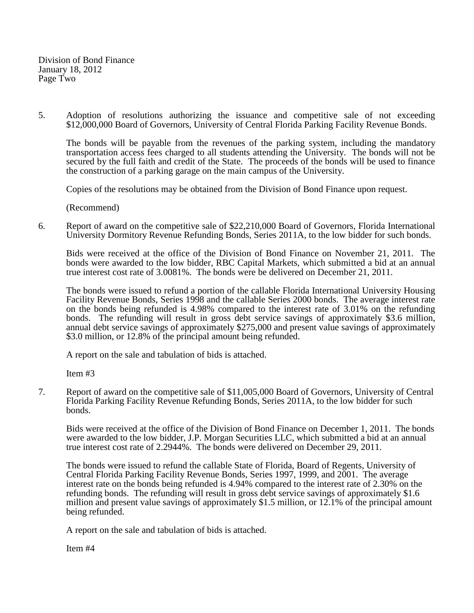Division of Bond Finance January 18, 2012 Page Two

5. Adoption of resolutions authorizing the issuance and competitive sale of not exceeding \$12,000,000 Board of Governors, University of Central Florida Parking Facility Revenue Bonds.

The bonds will be payable from the revenues of the parking system, including the mandatory transportation access fees charged to all students attending the University. The bonds will not be secured by the full faith and credit of the State. The proceeds of the bonds will be used to finance the construction of a parking garage on the main campus of the University.

Copies of the resolutions may be obtained from the Division of Bond Finance upon request.

(Recommend)

6. Report of award on the competitive sale of \$22,210,000 Board of Governors, Florida International University Dormitory Revenue Refunding Bonds, Series 2011A, to the low bidder for such bonds.

Bids were received at the office of the Division of Bond Finance on November 21, 2011. The bonds were awarded to the low bidder, RBC Capital Markets, which submitted a bid at an annual true interest cost rate of 3.0081%. The bonds were be delivered on December 21, 2011.

The bonds were issued to refund a portion of the callable Florida International University Housing Facility Revenue Bonds, Series 1998 and the callable Series 2000 bonds. The average interest rate on the bonds being refunded is 4.98% compared to the interest rate of 3.01% on the refunding bonds. The refunding will result in gross debt service savings of approximately \$3.6 million, annual debt service savings of approximately \$275,000 and present value savings of approximately \$3.0 million, or 12.8% of the principal amount being refunded.

A report on the sale and tabulation of bids is attached.

Item #3

7. Report of award on the competitive sale of \$11,005,000 Board of Governors, University of Central Florida Parking Facility Revenue Refunding Bonds, Series 2011A, to the low bidder for such bonds.

Bids were received at the office of the Division of Bond Finance on December 1, 2011. The bonds were awarded to the low bidder, J.P. Morgan Securities LLC, which submitted a bid at an annual true interest cost rate of 2.2944%. The bonds were delivered on December 29, 2011.

The bonds were issued to refund the callable State of Florida, Board of Regents, University of Central Florida Parking Facility Revenue Bonds, Series 1997, 1999, and 2001. The average interest rate on the bonds being refunded is 4.94% compared to the interest rate of 2.30% on the refunding bonds. The refunding will result in gross debt service savings of approximately \$1.6 million and present value savings of approximately \$1.5 million, or 12.1% of the principal amount being refunded.

A report on the sale and tabulation of bids is attached.

Item #4